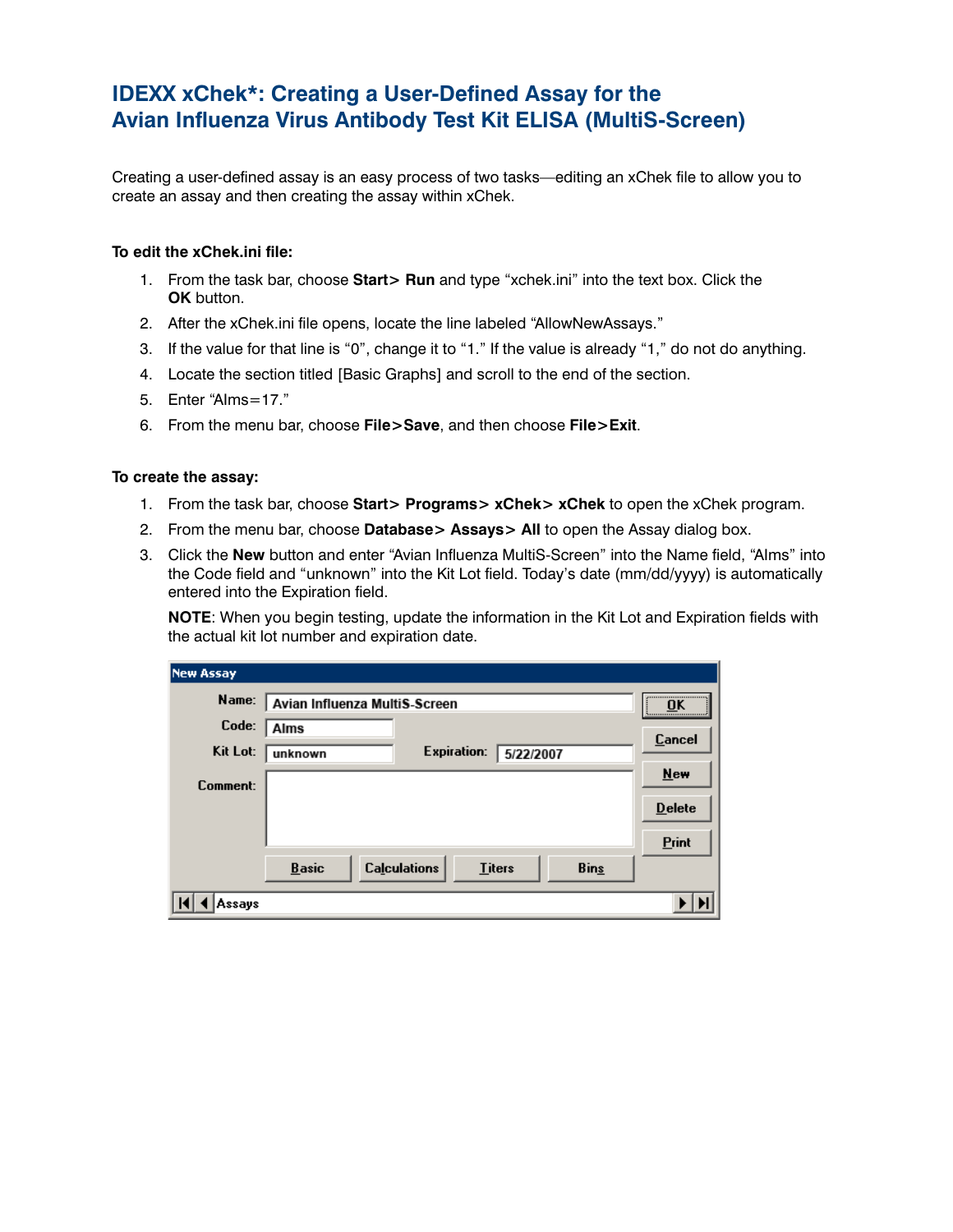## **IDEXX xChek\*: Creating a User-Defined Assay for the Avian Influenza Virus Antibody Test Kit ELISA (MultiS-Screen)**

Creating a user-defined assay is an easy process of two tasks—editing an xChek file to allow you to create an assay and then creating the assay within xChek.

## **To edit the xChek.ini file:**

- 1. From the task bar, choose **Start> Run** and type "xchek.ini" into the text box. Click the **OK** button.
- 2. After the xChek.ini file opens, locate the line labeled "AllowNewAssays."
- 3. If the value for that line is "0", change it to "1." If the value is already "1," do not do anything.
- 4. Locate the section titled [Basic Graphs] and scroll to the end of the section.
- 5. Enter "AIms=17."
- 6. From the menu bar, choose **File>Save**, and then choose **File>Exit**.

## **To create the assay:**

- 1. From the task bar, choose **Start> Programs> xChek> xChek** to open the xChek program.
- 2. From the menu bar, choose **Database> Assays> All** to open the Assay dialog box.
- 3. Click the **New** button and enter "Avian Influenza MultiS-Screen" into the Name field, "AIms" into the Code field and "unknown" into the Kit Lot field. Today's date (mm/dd/yyyy) is automatically entered into the Expiration field.

**NOTE:** When you begin testing, update the information in the Kit Lot and Expiration fields with the actual kit lot number and expiration date.

| <b>New Assay</b> |                                                      |               |
|------------------|------------------------------------------------------|---------------|
| Name:            | Avian Influenza MultiS-Screen                        | <br>OK        |
| Code:            | <b>Alms</b>                                          | Cancel        |
| Kit Lot:         | <b>Expiration:</b><br>unknown                        | 5/22/2007     |
| Comment:         |                                                      | <b>New</b>    |
|                  |                                                      | <b>Delete</b> |
|                  |                                                      | Print         |
|                  | <b>Calculations</b><br><b>Basic</b><br><b>Titers</b> | <b>Bins</b>   |
| Assavs           |                                                      |               |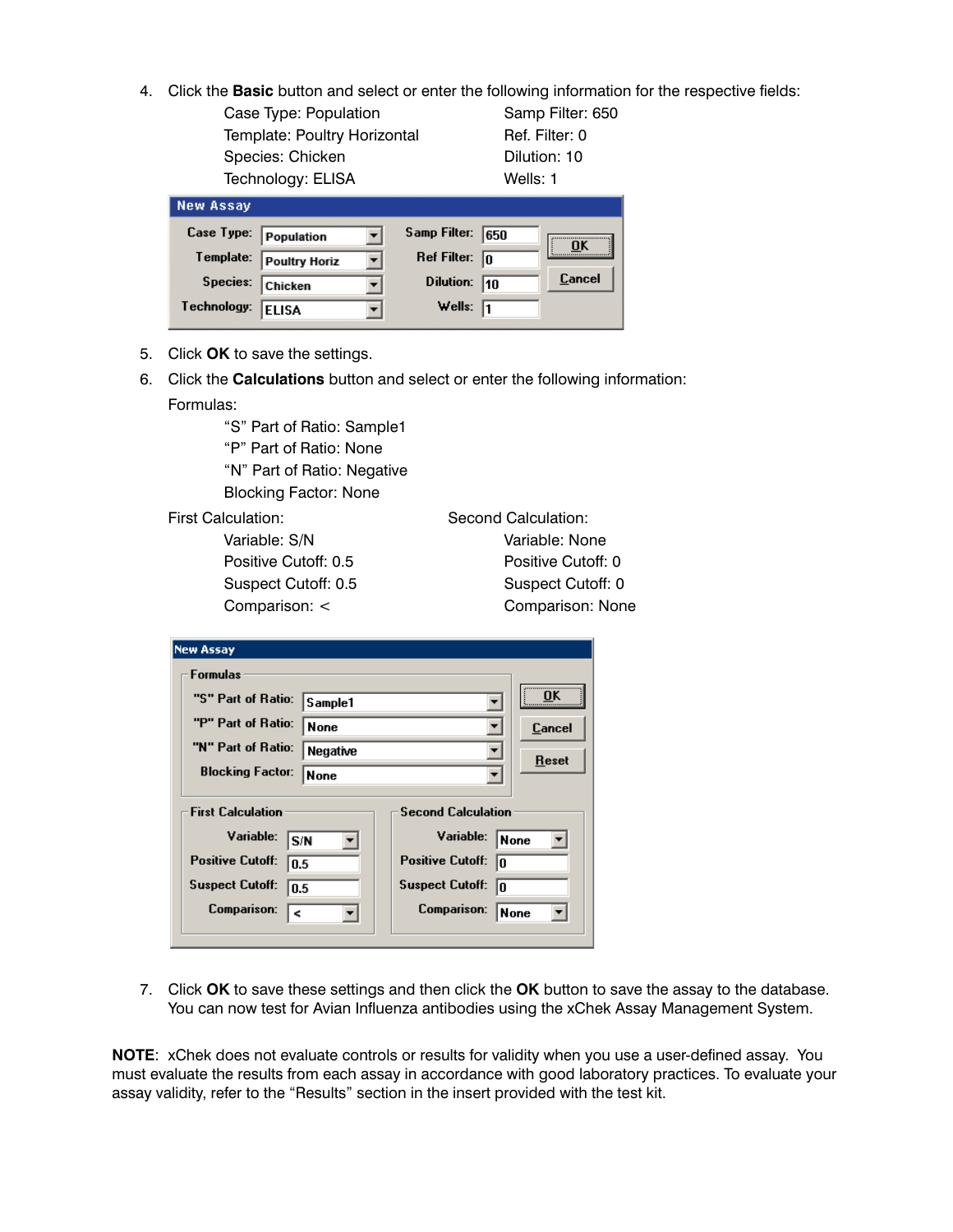4. Click the **Basic** button and select or enter the following information for the respective fields:

Case Type: Population Samp Filter: 650 Template: Poultry Horizontal Ref. Filter: 0 Species: Chicken Dilution: 10 Technology: ELISA Wells: 1

| <b>New Assay</b>      |                      |                         |      |        |
|-----------------------|----------------------|-------------------------|------|--------|
| Case Type: Population |                      | Samp Filter:            | 1650 | ŪK     |
| Template:             | <b>Poultry Horiz</b> | Ref Filter: $\boxed{0}$ |      |        |
| Species:              | <b>Chicken</b>       | Dilution:               | 110  | Cancel |
| Technology:           | <b>ELISA</b>         | Wells: $\sqrt{1}$       |      |        |

- 5. Click **OK** to save the settings.
- 6. Click the **Calculations** button and select or enter the following information: Formulas:

 "S" Part of Ratio: Sample1 "P" Part of Ratio: None

 "N" Part of Ratio: Negative Blocking Factor: None

First Calculation: Second Calculation: Variable: S/N Variable: None Positive Cutoff: 0.5 Positive Cutoff: 0 Suspect Cutoff: 0.5 Suspect Cutoff: 0 Comparison: < Comparison: None

|                          | <b>New Assay</b>                  |                  |                              |             |  |  |  |
|--------------------------|-----------------------------------|------------------|------------------------------|-------------|--|--|--|
|                          | <b>Formulas</b>                   |                  |                              |             |  |  |  |
|                          | "S" Part of Ratio:                | Sample1          |                              | <br>ΠK      |  |  |  |
|                          | "P" Part of Ratio:                | None             |                              | Cancel      |  |  |  |
|                          | "N" Part of Ratio:                | Negative<br>None |                              | Reset       |  |  |  |
|                          | <b>Blocking Factor:</b>           |                  |                              |             |  |  |  |
| <b>First Calculation</b> |                                   |                  | <b>Second Calculation</b>    |             |  |  |  |
|                          | Variable:<br>S N                  |                  | Variable:                    | <b>None</b> |  |  |  |
|                          | <b>Positive Cutoff:</b><br>0.5    |                  | <b>Positive Cutoff:</b><br>n |             |  |  |  |
|                          | <b>Suspect Cutoff:</b><br>0.5     |                  | <b>Suspect Cutoff:</b><br>10 |             |  |  |  |
|                          | <b>Comparison:</b><br>$\breve{~}$ |                  | <b>Comparison:</b>           | None        |  |  |  |

7. Click **OK** to save these settings and then click the **OK** button to save the assay to the database. You can now test for Avian Influenza antibodies using the xChek Assay Management System.

**NOTE**: xChek does not evaluate controls or results for validity when you use a user-defined assay. You must evaluate the results from each assay in accordance with good laboratory practices. To evaluate your assay validity, refer to the "Results" section in the insert provided with the test kit.